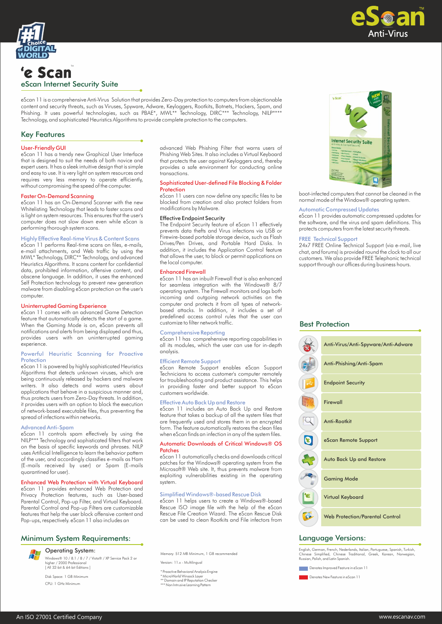



# 'e Scan eScan Internet Security Suite

eScan 11 is a comprehensive Anti-Virus Solution that provides Zero-Day protection to computers from objectionable content and security threats, such as Viruses, Spyware, Adware, Keyloggers, Rootkits, Botnets, Hackers, Spam, and Phishing. It uses powerful technologies, such as PBAE\*, MWL\*\* Technology, DIRC\*\*\* Technology, NILP\*\*\*\* Technology, and sophisticated Heuristics Algorithms to provide complete protection to the computers.

# Key Features

## User-Friendly GUI

eScan 11 has a trendy new Graphical User Interface that is designed to suit the needs of both novice and expert users. It has a sleek intuitive design that is simple and easy to use. It is very light on system resources and requires very less memory to operate efficiently, without compromising the speed of the computer.

#### Faster On-Demand Scanning

eScan 11 has an On-Demand Scanner with the new Whitelisting Technology that leads to faster scans and is light on system resources. This ensures that the user's computer does not slow down even while eScan is performing thorough system scans.

## Highly Effective Real-time Virus & Content Scans

eScan 11 performs Real-time scans on files, e-mails, e-mail attachments, and Web traffic by using the MWL\* Technology, DIRC\*\* Technology, and advanced Heuristics Algorithms. It scans content for confidential data, prohibited information, offensive content, and obscene language. In addition, it uses the enhanced Self Protection technology to prevent new generation malware from disabling eScan protection on the user's computer.

## Uninterrupted Gaming Experience

eScan 11 comes with an advanced Game Detection feature that automatically detects the start of a game. When the Gaming Mode is on, eScan prevents all notifications and alerts from being displayed and thus, provides users with an uninterrupted gaming experience.

#### Powerful Heuristic Scanning for Proactive Protection

eScan 11 is powered by highly sophisticated Heuristics Algorithms that detects unknown viruses, which are being continuously released by hackers and malware writers. It also detects and warns users about applications that behave in a suspicious manner and, thus protects users from Zero-Day threats. In addition, it provides users with an option to block the execution of network-based executable files, thus preventing the spread of infections within networks.

#### Advanced Anti-Spam

eScan 11 controls spam effectively by using the NILP\*\*\* Technology and sophisticated filters that work on the basis of specific keywords and phrases. NILP uses Artificial Intelligence to learn the behavior pattern of the user, and accordingly classifies e-mails as Ham (E-mails received by user) or Spam (E-mails quarantined for user).

#### Enhanced Web Protection with Virtual Keyboard

eScan 11 provides enhanced Web Protection and Privacy Protection features, such as User-based Parental Control, Pop-up Filter, and Virtual Keyboard. Parental Control and Pop-up Filters are customizable features that help the user block offensive content and Pop-ups, respectively. eScan 11 also includes an

# Minimum System Requirements:



Windows® 10 / 8.1 / 8 / 7 / Vista® / XP Service Pack 2 or higher / 2000 Professional [ All 32-bit & 64-bit Editions ] Operating System:

Disk Space: 1 GB Minimum CPU: 1 GHz Minimum

advanced Web Phishing Filter that warns users of Phishing Web Sites. It also includes a Virtual Keyboard that protects the user against Keyloggers and, thereby provides a safe environment for conducting online transactions.

#### Sophisticated User-defined File Blocking & Folder **Protection**

eScan 11 users can now define any specific files to be blocked from creation and also protect folders from modifications by Malware.

### Effective Endpoint Security

The Endpoint Security feature of eScan 11 effectively prevents data thefts and Virus infections via USB or Firewire-based portable storage device, such as Flash Drives/Pen Drives, and Portable Hard Disks. In addition, it includes the Application Control feature that allows the user, to block or permit applications on the local computer.

#### Enhanced Firewall

eScan 11 has an inbuilt Firewall that is also enhanced for seamless integration with the Windows® 8/7 operating system. The Firewall monitors and logs both incoming and outgoing network activities on the computer and protects it from all types of networkbased attacks. In addition, it includes a set of predefined access control rules that the user can customize to filter network traffic.

#### Comprehensive Reporting

eScan 11 has comprehensive reporting capabilities in all its modules, which the user can use for in-depth analysis.

#### Efficient Remote Support

eScan Remote Support enables eScan Support Technicians to access customer's computer remotely for troubleshooting and product assistance. This helps in providing faster and better support to eScan customers worldwide.

#### Effective Auto Back Up and Restore

eScan 11 includes an Auto Back Up and Restore feature that takes a backup of all the system files that are frequently used and stores them in an encrypted form. The feature automatically restores the clean files when eScan finds an infection in any of the system files.

#### Automatic Downloads of Critical Windows® OS Patches

eScan 11 automatically checks and downloads critical patches for the Windows® operating system from the Microsoft® Web site. It, thus prevents malware from exploiting vulnerabilities existing in the operating system.

#### Simplified Windows®-based Rescue Disk

eScan 11 helps users to create a Windows®-based Rescue ISO image file with the help of the eScan Rescue File Creation Wizard. The eScan Rescue Disk can be used to clean Rootkits and File infectors from

Memory: 512 MB Minimum, 1 GB recommended

Version: 11.x - Multilingual

\* Proactive Behavioral Analysis Engine \* MicroWorld Winsock Layer \*\* Domain and IP Reputation Checker \*\*\* Non Intrusive Learning Pattern



boot-infected computers that cannot be cleaned in the normal mode of the Windows® operating system.

#### Automatic Compressed Updates

eScan 11 provides automatic compressed updates for the software, and the virus and spam definitions. This protects computers from the latest security threats.

#### FREE Technical Support

24x7 FREE Online Technical Support (via e-mail, live chat, and forums) is provided round the clock to all our customers. We also provide FREE Telephonic technical support through our offices during business hours.



# Language Versions:

English, German, French, Nederlands, Italian, Portuguese, Spanish, Turkish, Chinese Simplified, Chinese Traditional, Greek, Korean, Norwegian, Russian, Polish, and Latin Spanish.

**Denotes Improved Feature in eScan 11** 

Denotes New Feature in eScan 11

## Best Protection